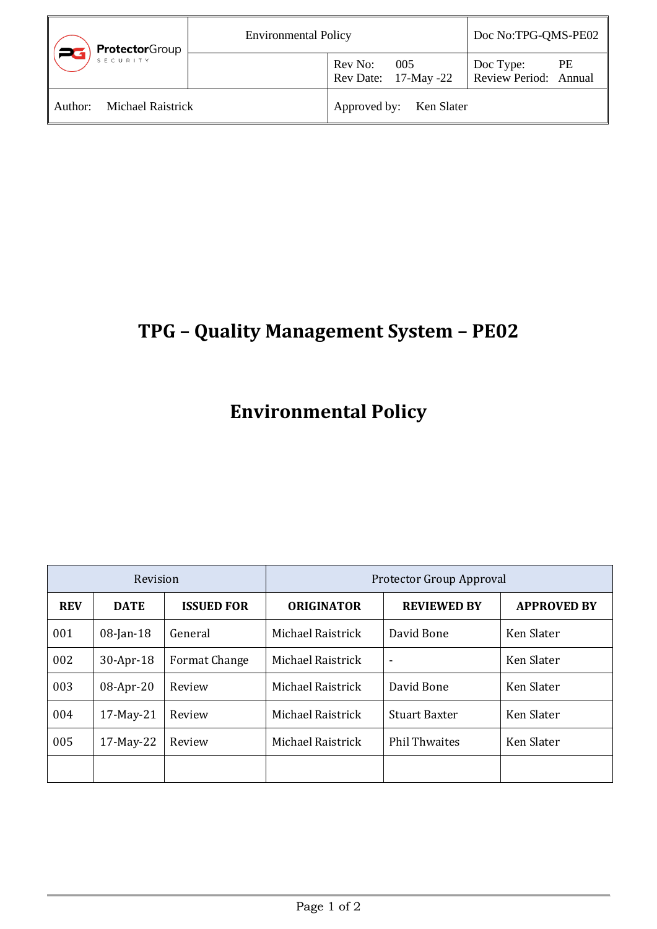| <b>Protector</b> Group              | <b>Environmental Policy</b> |                         | Doc No:TPG-QMS-PE02                 |                                    |    |
|-------------------------------------|-----------------------------|-------------------------|-------------------------------------|------------------------------------|----|
|                                     |                             |                         | Rev No: 005<br>Rev Date: 17-May -22 | Doc Type:<br>Review Period: Annual | PE |
| <b>Michael Raistrick</b><br>Author: |                             | Approved by: Ken Slater |                                     |                                    |    |

## **TPG – Quality Management System – PE02**

## **Environmental Policy**

| Revision   |              | Protector Group Approval |                   |                          |                    |
|------------|--------------|--------------------------|-------------------|--------------------------|--------------------|
| <b>REV</b> | <b>DATE</b>  | <b>ISSUED FOR</b>        | <b>ORIGINATOR</b> | <b>REVIEWED BY</b>       | <b>APPROVED BY</b> |
| 001        | $08$ -Jan-18 | General                  | Michael Raistrick | David Bone               | Ken Slater         |
| 002        | 30-Apr-18    | Format Change            | Michael Raistrick | $\overline{\phantom{a}}$ | Ken Slater         |
| 003        | 08-Apr-20    | Review                   | Michael Raistrick | David Bone               | Ken Slater         |
| 004        | 17-May-21    | Review                   | Michael Raistrick | <b>Stuart Baxter</b>     | Ken Slater         |
| 005        | 17-May-22    | Review                   | Michael Raistrick | <b>Phil Thwaites</b>     | Ken Slater         |
|            |              |                          |                   |                          |                    |